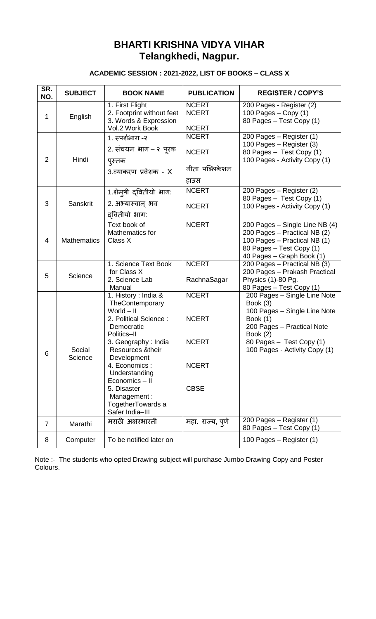## **BHARTI KRISHNA VIDYA VIHAR Telangkhedi, Nagpur.**

## **ACADEMIC SESSION : 2021-2022, LIST OF BOOKS – CLASS X**

| SR.<br>NO.     | <b>SUBJECT</b>     | <b>BOOK NAME</b>                                                                                                                                                                                                                                                                                  | <b>PUBLICATION</b>                                                          | <b>REGISTER / COPY'S</b>                                                                                                                                                                                  |
|----------------|--------------------|---------------------------------------------------------------------------------------------------------------------------------------------------------------------------------------------------------------------------------------------------------------------------------------------------|-----------------------------------------------------------------------------|-----------------------------------------------------------------------------------------------------------------------------------------------------------------------------------------------------------|
| 1              | English            | 1. First Flight<br>2. Footprint without feet<br>3. Words & Expression<br>Vol.2 Work Book                                                                                                                                                                                                          | <b>NCERT</b><br><b>NCERT</b><br><b>NCERT</b>                                | 200 Pages - Register (2)<br>100 Pages $-$ Copy (1)<br>80 Pages - Test Copy (1)                                                                                                                            |
| $\overline{2}$ | Hindi              | 1. स्पर्शभाग -२<br>2. संचयन भाग – २ पूरक<br>पुस्तक<br>3.व्याकरण प्रवेशक - X                                                                                                                                                                                                                       | <b>NCERT</b><br><b>NCERT</b><br>गीता पब्लिकेशन<br>हाउस                      | 200 Pages - Register (1)<br>100 Pages - Register (3)<br>80 Pages - Test Copy (1)<br>100 Pages - Activity Copy (1)                                                                                         |
| 3              | Sanskrit           | 1.शेमुषी द्वितीयो भाग:<br>2. अभ्यास्वान् भव<br>दवितीयो भाग:                                                                                                                                                                                                                                       | <b>NCERT</b><br><b>NCERT</b>                                                | 200 Pages - Register (2)<br>80 Pages - Test Copy (1)<br>100 Pages - Activity Copy (1)                                                                                                                     |
| 4              | <b>Mathematics</b> | Text book of<br>Mathematics for<br>Class X                                                                                                                                                                                                                                                        | <b>NCERT</b>                                                                | 200 Pages - Single Line NB (4)<br>200 Pages - Practical NB (2)<br>100 Pages - Practical NB (1)<br>80 Pages - Test Copy (1)<br>40 Pages - Graph Book (1)                                                   |
| 5              | Science            | 1. Science Text Book<br>for Class X<br>2. Science Lab<br>Manual                                                                                                                                                                                                                                   | <b>NCERT</b><br>RachnaSagar                                                 | $\overline{200}$ Pages - Practical NB (3)<br>200 Pages - Prakash Practical<br>Physics (1)-80 Pg.<br>80 Pages - Test Copy (1)                                                                              |
| 6              | Social<br>Science  | 1. History: India &<br>TheContemporary<br>$World - II$<br>2. Political Science:<br>Democratic<br>Politics-II<br>3. Geography: India<br>Resources & their<br>Development<br>4. Economics:<br>Understanding<br>Economics - II<br>5. Disaster<br>Management:<br>TogetherTowards a<br>Safer India-III | <b>NCERT</b><br><b>NCERT</b><br><b>NCERT</b><br><b>NCERT</b><br><b>CBSE</b> | 200 Pages - Single Line Note<br>Book (3)<br>100 Pages - Single Line Note<br><b>Book</b> (1)<br>200 Pages - Practical Note<br><b>Book</b> (2)<br>80 Pages - Test Copy (1)<br>100 Pages - Activity Copy (1) |
| $\overline{7}$ | Marathi            | मराठी अक्षरभारती                                                                                                                                                                                                                                                                                  | महा. राज्य, पुणे                                                            | 200 Pages - Register (1)<br>80 Pages - Test Copy (1)                                                                                                                                                      |
| 8              | Computer           | To be notified later on                                                                                                                                                                                                                                                                           |                                                                             | 100 Pages - Register (1)                                                                                                                                                                                  |

Note :- The students who opted Drawing subject will purchase Jumbo Drawing Copy and Poster Colours.